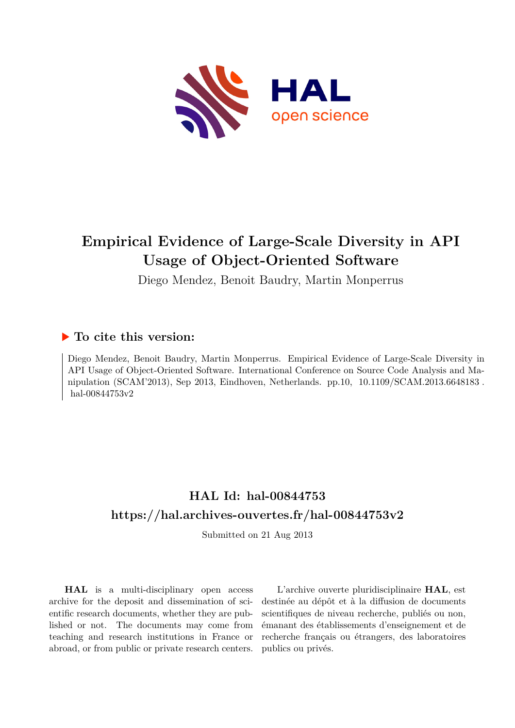

## **Empirical Evidence of Large-Scale Diversity in API Usage of Object-Oriented Software**

Diego Mendez, Benoit Baudry, Martin Monperrus

### **To cite this version:**

Diego Mendez, Benoit Baudry, Martin Monperrus. Empirical Evidence of Large-Scale Diversity in API Usage of Object-Oriented Software. International Conference on Source Code Analysis and Manipulation (SCAM'2013), Sep 2013, Eindhoven, Netherlands. pp.10, 10.1109/SCAM.2013.6648183. hal-00844753v2

## **HAL Id: hal-00844753 <https://hal.archives-ouvertes.fr/hal-00844753v2>**

Submitted on 21 Aug 2013

**HAL** is a multi-disciplinary open access archive for the deposit and dissemination of scientific research documents, whether they are published or not. The documents may come from teaching and research institutions in France or abroad, or from public or private research centers.

L'archive ouverte pluridisciplinaire **HAL**, est destinée au dépôt et à la diffusion de documents scientifiques de niveau recherche, publiés ou non, émanant des établissements d'enseignement et de recherche français ou étrangers, des laboratoires publics ou privés.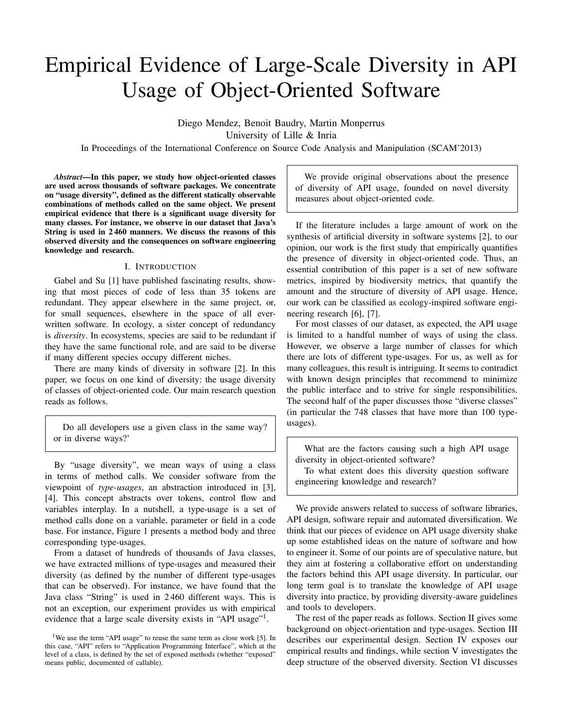# Empirical Evidence of Large-Scale Diversity in API Usage of Object-Oriented Software

Diego Mendez, Benoit Baudry, Martin Monperrus University of Lille & Inria

In Proceedings of the International Conference on Source Code Analysis and Manipulation (SCAM'2013)

*Abstract*—In this paper, we study how object-oriented classes are used across thousands of software packages. We concentrate on "usage diversity", defined as the different statically observable combinations of methods called on the same object. We present empirical evidence that there is a significant usage diversity for many classes. For instance, we observe in our dataset that Java's String is used in 2 460 manners. We discuss the reasons of this observed diversity and the consequences on software engineering knowledge and research.

#### I. INTRODUCTION

Gabel and Su [1] have published fascinating results, showing that most pieces of code of less than 35 tokens are redundant. They appear elsewhere in the same project, or, for small sequences, elsewhere in the space of all everwritten software. In ecology, a sister concept of redundancy is *diversity*. In ecosystems, species are said to be redundant if they have the same functional role, and are said to be diverse if many different species occupy different niches.

There are many kinds of diversity in software [2]. In this paper, we focus on one kind of diversity: the usage diversity of classes of object-oriented code. Our main research question reads as follows.

Do all developers use a given class in the same way? or in diverse ways?'

By "usage diversity", we mean ways of using a class in terms of method calls. We consider software from the viewpoint of *type-usages*, an abstraction introduced in [3], [4]. This concept abstracts over tokens, control flow and variables interplay. In a nutshell, a type-usage is a set of method calls done on a variable, parameter or field in a code base. For instance, Figure 1 presents a method body and three corresponding type-usages.

From a dataset of hundreds of thousands of Java classes, we have extracted millions of type-usages and measured their diversity (as defined by the number of different type-usages that can be observed). For instance, we have found that the Java class "String" is used in 2 460 different ways. This is not an exception, our experiment provides us with empirical evidence that a large scale diversity exists in "API usage"<sup>1</sup>.

We provide original observations about the presence of diversity of API usage, founded on novel diversity measures about object-oriented code.

If the literature includes a large amount of work on the synthesis of artificial diversity in software systems [2], to our opinion, our work is the first study that empirically quantifies the presence of diversity in object-oriented code. Thus, an essential contribution of this paper is a set of new software metrics, inspired by biodiversity metrics, that quantify the amount and the structure of diversity of API usage. Hence, our work can be classified as ecology-inspired software engineering research [6], [7].

For most classes of our dataset, as expected, the API usage is limited to a handful number of ways of using the class. However, we observe a large number of classes for which there are lots of different type-usages. For us, as well as for many colleagues, this result is intriguing. It seems to contradict with known design principles that recommend to minimize the public interface and to strive for single responsibilities. The second half of the paper discusses those "diverse classes" (in particular the 748 classes that have more than 100 typeusages).

What are the factors causing such a high API usage diversity in object-oriented software?

To what extent does this diversity question software engineering knowledge and research?

We provide answers related to success of software libraries, API design, software repair and automated diversification. We think that our pieces of evidence on API usage diversity shake up some established ideas on the nature of software and how to engineer it. Some of our points are of speculative nature, but they aim at fostering a collaborative effort on understanding the factors behind this API usage diversity. In particular, our long term goal is to translate the knowledge of API usage diversity into practice, by providing diversity-aware guidelines and tools to developers.

The rest of the paper reads as follows. Section II gives some background on object-orientation and type-usages. Section III describes our experimental design. Section IV exposes our empirical results and findings, while section V investigates the deep structure of the observed diversity. Section VI discusses

<sup>&</sup>lt;sup>1</sup>We use the term "API usage" to reuse the same term as close work [5]. In this case, "API" refers to "Application Programming Interface", which at the level of a class, is defined by the set of exposed methods (whether "exposed" means public, documented of callable).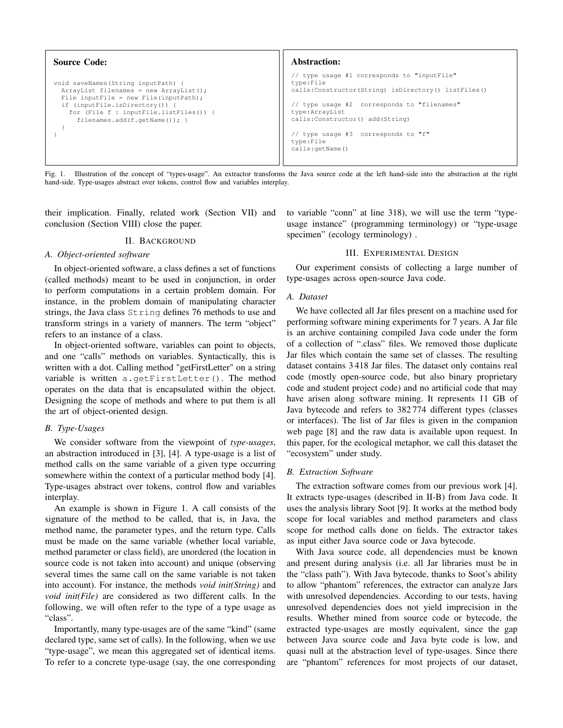```
Source Code:
void saveNames(String inputPath) {
 ArrayList filenames = new ArrayList();
  File inputFile = new File(inputPath);
  if (inputFile.isDirectory()) {
    for (File f : inputFile.listFiles()) {
      filenames.add(f.getName()); }
  }
}
                                                               Abstraction:
                                                               // type usage #1 corresponds to "inputFile"
                                                              type:File
                                                              calls:Constructor(String) isDirectory() listFiles()
                                                               // type usage #2 corresponds to "filenames"
                                                              type:ArrayList
                                                              calls:Constructor() add(String)
                                                               // type usage #3 corresponds to "f"
                                                              type:File
                                                              calls:getName()
```
Fig. 1. Illustration of the concept of "types-usage". An extractor transforms the Java source code at the left hand-side into the abstraction at the right hand-side. Type-usages abstract over tokens, control flow and variables interplay.

their implication. Finally, related work (Section VII) and conclusion (Section VIII) close the paper.

#### II. BACKGROUND

#### *A. Object-oriented software*

In object-oriented software, a class defines a set of functions (called methods) meant to be used in conjunction, in order to perform computations in a certain problem domain. For instance, in the problem domain of manipulating character strings, the Java class String defines 76 methods to use and transform strings in a variety of manners. The term "object" refers to an instance of a class.

In object-oriented software, variables can point to objects, and one "calls" methods on variables. Syntactically, this is written with a dot. Calling method "getFirstLetter" on a string variable is written a.getFirstLetter(). The method operates on the data that is encapsulated within the object. Designing the scope of methods and where to put them is all the art of object-oriented design.

#### *B. Type-Usages*

We consider software from the viewpoint of *type-usages*, an abstraction introduced in [3], [4]. A type-usage is a list of method calls on the same variable of a given type occurring somewhere within the context of a particular method body [4]. Type-usages abstract over tokens, control flow and variables interplay.

An example is shown in Figure 1. A call consists of the signature of the method to be called, that is, in Java, the method name, the parameter types, and the return type. Calls must be made on the same variable (whether local variable, method parameter or class field), are unordered (the location in source code is not taken into account) and unique (observing several times the same call on the same variable is not taken into account). For instance, the methods *void init(String)* and *void init(File)* are considered as two different calls. In the following, we will often refer to the type of a type usage as "class".

Importantly, many type-usages are of the same "kind" (same declared type, same set of calls). In the following, when we use "type-usage", we mean this aggregated set of identical items. To refer to a concrete type-usage (say, the one corresponding to variable "conn" at line 318), we will use the term "typeusage instance" (programming terminology) or "type-usage specimen" (ecology terminology).

#### III. EXPERIMENTAL DESIGN

Our experiment consists of collecting a large number of type-usages across open-source Java code.

#### *A. Dataset*

We have collected all Jar files present on a machine used for performing software mining experiments for 7 years. A Jar file is an archive containing compiled Java code under the form of a collection of ".class" files. We removed those duplicate Jar files which contain the same set of classes. The resulting dataset contains 3 418 Jar files. The dataset only contains real code (mostly open-source code, but also binary proprietary code and student project code) and no artificial code that may have arisen along software mining. It represents 11 GB of Java bytecode and refers to 382 774 different types (classes or interfaces). The list of Jar files is given in the companion web page [8] and the raw data is available upon request. In this paper, for the ecological metaphor, we call this dataset the "ecosystem" under study.

#### *B. Extraction Software*

The extraction software comes from our previous work [4]. It extracts type-usages (described in II-B) from Java code. It uses the analysis library Soot [9]. It works at the method body scope for local variables and method parameters and class scope for method calls done on fields. The extractor takes as input either Java source code or Java bytecode.

With Java source code, all dependencies must be known and present during analysis (i.e. all Jar libraries must be in the "class path"). With Java bytecode, thanks to Soot's ability to allow "phantom" references, the extractor can analyze Jars with unresolved dependencies. According to our tests, having unresolved dependencies does not yield imprecision in the results. Whether mined from source code or bytecode, the extracted type-usages are mostly equivalent, since the gap between Java source code and Java byte code is low, and quasi null at the abstraction level of type-usages. Since there are "phantom" references for most projects of our dataset,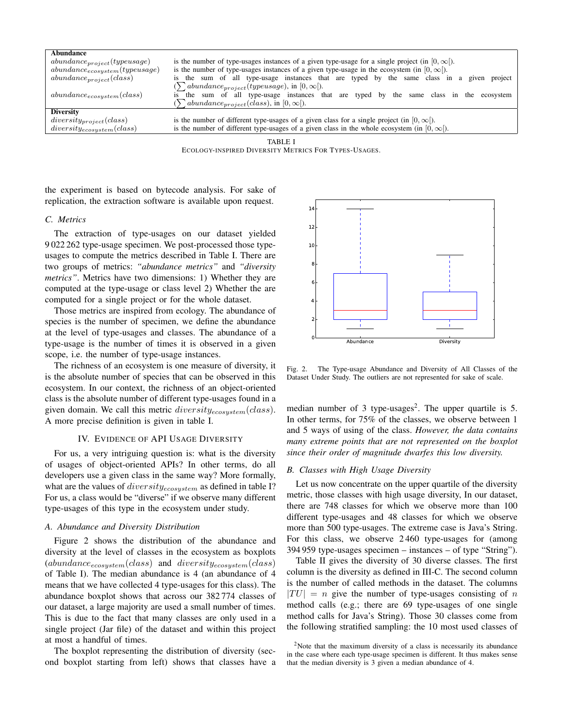| Abundance                           |                                                                                                        |  |  |  |  |  |  |  |
|-------------------------------------|--------------------------------------------------------------------------------------------------------|--|--|--|--|--|--|--|
| $abundance_{project}(type usage)$   | is the number of type-usages instances of a given type-usage for a single project (in $[0, \infty)$ ). |  |  |  |  |  |  |  |
| $abundance_{ecosystem}(type usage)$ | is the number of type-usages instances of a given type-usage in the ecosystem (in $[0, \infty)$ ).     |  |  |  |  |  |  |  |
| $abundance_{project}(class)$        | is the sum of all type-usage instances that are typed by the same class in a given<br>project          |  |  |  |  |  |  |  |
|                                     | $(\sum_{\text{abundance}_{project}}(type usage), \text{ in } [0, \infty]).$                            |  |  |  |  |  |  |  |
| $abundance_{ecosystem}(class)$      | is the sum of all type-usage instances that are typed by the same class in the ecosystem               |  |  |  |  |  |  |  |
|                                     | $(\sum_{\text{abundance}_{project}(class), \text{ in } [0, \infty])$ .                                 |  |  |  |  |  |  |  |
| <b>Diversity</b>                    |                                                                                                        |  |  |  |  |  |  |  |
| $diversity_{project}(class)$        | is the number of different type-usages of a given class for a single project (in $[0, \infty)$ ).      |  |  |  |  |  |  |  |
| $diversity_{ecosystem}(class)$      | is the number of different type-usages of a given class in the whole ecosystem (in $[0, \infty)$ ).    |  |  |  |  |  |  |  |
| TARI E I                            |                                                                                                        |  |  |  |  |  |  |  |

ECOLOGY-INSPIRED DIVERSITY METRICS FOR TYPES-USAGES.

the experiment is based on bytecode analysis. For sake of replication, the extraction software is available upon request.

#### *C. Metrics*

The extraction of type-usages on our dataset yielded 9 022 262 type-usage specimen. We post-processed those typeusages to compute the metrics described in Table I. There are two groups of metrics: *"abundance metrics"* and *"diversity metrics"*. Metrics have two dimensions: 1) Whether they are computed at the type-usage or class level 2) Whether the are computed for a single project or for the whole dataset.

Those metrics are inspired from ecology. The abundance of species is the number of specimen, we define the abundance at the level of type-usages and classes. The abundance of a type-usage is the number of times it is observed in a given scope, i.e. the number of type-usage instances.

The richness of an ecosystem is one measure of diversity, it is the absolute number of species that can be observed in this ecosystem. In our context, the richness of an object-oriented class is the absolute number of different type-usages found in a given domain. We call this metric  $diversity_{ecosystem}(class)$ . A more precise definition is given in table I.

#### IV. EVIDENCE OF API USAGE DIVERSITY

For us, a very intriguing question is: what is the diversity of usages of object-oriented APIs? In other terms, do all developers use a given class in the same way? More formally, what are the values of  $diversity_{ecosystem}$  as defined in table I? For us, a class would be "diverse" if we observe many different type-usages of this type in the ecosystem under study.

#### *A. Abundance and Diversity Distribution*

Figure 2 shows the distribution of the abundance and diversity at the level of classes in the ecosystem as boxplots  $(abundance_{ecosystem}(class)$  and  $diversity_{ecosystem}(class)$ of Table I). The median abundance is 4 (an abundance of 4 means that we have collected 4 type-usages for this class). The abundance boxplot shows that across our 382 774 classes of our dataset, a large majority are used a small number of times. This is due to the fact that many classes are only used in a single project (Jar file) of the dataset and within this project at most a handful of times.

The boxplot representing the distribution of diversity (second boxplot starting from left) shows that classes have a



Fig. 2. The Type-usage Abundance and Diversity of All Classes of the Dataset Under Study. The outliers are not represented for sake of scale.

median number of 3 type-usages<sup>2</sup>. The upper quartile is 5. In other terms, for 75% of the classes, we observe between 1 and 5 ways of using of the class. *However, the data contains many extreme points that are not represented on the boxplot since their order of magnitude dwarfes this low diversity.*

#### *B. Classes with High Usage Diversity*

Let us now concentrate on the upper quartile of the diversity metric, those classes with high usage diversity, In our dataset, there are 748 classes for which we observe more than 100 different type-usages and 48 classes for which we observe more than 500 type-usages. The extreme case is Java's String. For this class, we observe 2 460 type-usages for (among 394 959 type-usages specimen – instances – of type "String").

Table II gives the diversity of 30 diverse classes. The first column is the diversity as defined in III-C. The second column is the number of called methods in the dataset. The columns  $|TU| = n$  give the number of type-usages consisting of n method calls (e.g.; there are 69 type-usages of one single method calls for Java's String). Those 30 classes come from the following stratified sampling: the 10 most used classes of

 $2$ Note that the maximum diversity of a class is necessarily its abundance in the case where each type-usage specimen is different. It thus makes sense that the median diversity is 3 given a median abundance of 4.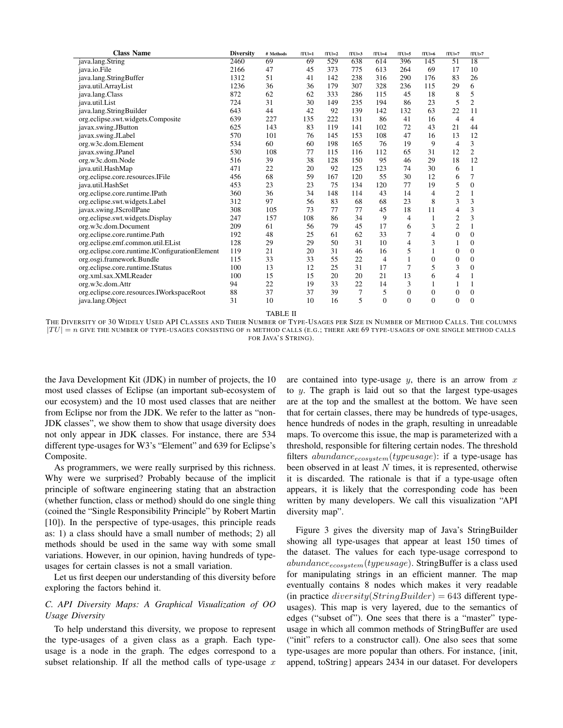| <b>Class Name</b>                              | <b>Diversity</b> | # Methods | $ TU =1$ | $ TU =2$ | $ TU =3$ | $ TU =4$ | $ TU =5$       | $ TU =6$     | $ TU =7$         | TU >7          |
|------------------------------------------------|------------------|-----------|----------|----------|----------|----------|----------------|--------------|------------------|----------------|
| java.lang.String                               | 2460             | 69        | 69       | 529      | 638      | 614      | 396            | 145          | 51               | 18             |
| java.io.File                                   | 2166             | 47        | 45       | 373      | 775      | 613      | 264            | 69           | 17               | 10             |
| java.lang.StringBuffer                         | 1312             | 51        | 41       | 142      | 238      | 316      | 290            | 176          | 83               | 26             |
| java.util.ArrayList                            | 1236             | 36        | 36       | 179      | 307      | 328      | 236            | 115          | 29               | 6              |
| java.lang.Class                                | 872              | 62        | 62       | 333      | 286      | 115      | 45             | 18           | 8                | 5              |
| java.util.List                                 | 724              | 31        | 30       | 149      | 235      | 194      | 86             | 23           | 5                | $\overline{c}$ |
| java.lang.StringBuilder                        | 643              | 44        | 42       | 92       | 139      | 142      | 132            | 63           | 22               | 11             |
| org.eclipse.swt.widgets.Composite              | 639              | 227       | 135      | 222      | 131      | 86       | 41             | 16           | $\overline{4}$   | 4              |
| javax.swing.JButton                            | 625              | 143       | 83       | 119      | 141      | 102      | 72             | 43           | 21               | 44             |
| javax.swing.JLabel                             | 570              | 101       | 76       | 145      | 153      | 108      | 47             | 16           | 13               | 12             |
| org.w3c.dom.Element                            | 534              | 60        | 60       | 198      | 165      | 76       | 19             | 9            | 4                | 3              |
| javax.swing.JPanel                             | 530              | 108       | 77       | 115      | 116      | 112      | 65             | 31           | 12               | $\overline{c}$ |
| org.w3c.dom.Node                               | 516              | 39        | 38       | 128      | 150      | 95       | 46             | 29           | 18               | 12             |
| java.util.HashMap                              | 471              | 22        | 20       | 92       | 125      | 123      | 74             | 30           | 6                | 1              |
| org.eclipse.core.resources.IFile               | 456              | 68        | 59       | 167      | 120      | 55       | 30             | 12           | 6                | 7              |
| java.util.HashSet                              | 453              | 23        | 23       | 75       | 134      | 120      | 77             | 19           | 5                | $\mathbf{0}$   |
| org.eclipse.core.runtime.IPath                 | 360              | 36        | 34       | 148      | 114      | 43       | 14             | 4            | $\overline{c}$   | 1              |
| org.eclipse.swt.widgets.Label                  | 312              | 97        | 56       | 83       | 68       | 68       | 23             | 8            | 3                | 3              |
| javax.swing.JScrollPane                        | 308              | 105       | 73       | 77       | 77       | 45       | 18             | 11           | $\overline{4}$   | 3              |
| org.eclipse.swt.widgets.Display                | 247              | 157       | 108      | 86       | 34       | 9        | 4              | 1            | $\mathfrak{2}$   | 3              |
| org.w3c.dom.Document                           | 209              | 61        | 56       | 79       | 45       | 17       | 6              | 3            | $\overline{2}$   | $\mathbf{1}$   |
| org.eclipse.core.runtime.Path                  | 192              | 48        | 25       | 61       | 62       | 33       | 7              | 4            | $\overline{0}$   | $\mathbf{0}$   |
| org.eclipse.emf.common.util.EList              | 128              | 29        | 29       | 50       | 31       | 10       | 4              | 3            | 1                | $\mathbf{0}$   |
| org.eclipse.core.runtime.IConfigurationElement | 119              | 21        | 20       | 31       | 46       | 16       | 5              | 1            | $\mathbf{0}$     | $\mathbf{0}$   |
| org.osgi.framework.Bundle                      | 115              | 33        | 33       | 55       | 22       | 4        |                | $\mathbf{0}$ | $\mathbf{0}$     | $\mathbf{0}$   |
| org.eclipse.core.runtime.IStatus               | 100              | 13        | 12       | 25       | 31       | 17       | 7              | 5            | 3                | $\mathbf{0}$   |
| org.xml.sax.XMLReader                          | 100              | 15        | 15       | 20       | 20       | 21       | 13             | 6            | $\overline{4}$   | $\mathbf{1}$   |
| org.w3c.dom.Attr                               | 94               | 22        | 19       | 33       | 22       | 14       | 3              | 1            | 1                | 1              |
| org.eclipse.core.resources.IWorkspaceRoot      | 88               | 37        | 37       | 39       | 7        | 5        | $\overline{0}$ | $\mathbf{0}$ | $\boldsymbol{0}$ | $\mathbf{0}$   |
| java.lang.Object                               | 31               | 10        | 10       | 16       | 5        | $\theta$ | $\Omega$       | $\theta$     | $\theta$         | $\Omega$       |

TABLE II

THE DIVERSITY OF 30 WIDELY USED API CLASSES AND THEIR NUMBER OF TYPE-USAGES PER SIZE IN NUMBER OF METHOD CALLS. THE COLUMNS  $|TU| = n$  GIVE THE NUMBER OF TYPE-USAGES CONSISTING OF  $n$  method calls (e.g.; there are 69 type-usages of one single method calls FOR JAVA'S STRING).

the Java Development Kit (JDK) in number of projects, the 10 most used classes of Eclipse (an important sub-ecosystem of our ecosystem) and the 10 most used classes that are neither from Eclipse nor from the JDK. We refer to the latter as "non-JDK classes", we show them to show that usage diversity does not only appear in JDK classes. For instance, there are 534 different type-usages for W3's "Element" and 639 for Eclipse's Composite.

As programmers, we were really surprised by this richness. Why were we surprised? Probably because of the implicit principle of software engineering stating that an abstraction (whether function, class or method) should do one single thing (coined the "Single Responsibility Principle" by Robert Martin [10]). In the perspective of type-usages, this principle reads as: 1) a class should have a small number of methods; 2) all methods should be used in the same way with some small variations. However, in our opinion, having hundreds of typeusages for certain classes is not a small variation.

Let us first deepen our understanding of this diversity before exploring the factors behind it.

#### *C. API Diversity Maps: A Graphical Visualization of OO Usage Diversity*

To help understand this diversity, we propose to represent the type-usages of a given class as a graph. Each typeusage is a node in the graph. The edges correspond to a subset relationship. If all the method calls of type-usage  $x$  are contained into type-usage  $y$ , there is an arrow from  $x$ to  $y$ . The graph is laid out so that the largest type-usages are at the top and the smallest at the bottom. We have seen that for certain classes, there may be hundreds of type-usages, hence hundreds of nodes in the graph, resulting in unreadable maps. To overcome this issue, the map is parameterized with a threshold, responsible for filtering certain nodes. The threshold filters  $abundance_{ecosystem}(type usage)$ : if a type-usage has been observed in at least  $N$  times, it is represented, otherwise it is discarded. The rationale is that if a type-usage often appears, it is likely that the corresponding code has been written by many developers. We call this visualization "API diversity map".

Figure 3 gives the diversity map of Java's StringBuilder showing all type-usages that appear at least 150 times of the dataset. The values for each type-usage correspond to  $abundance_{ecosystem}(type usage)$ . StringBuffer is a class used for manipulating strings in an efficient manner. The map eventually contains 8 nodes which makes it very readable (in practice  $diversity(StringBuilder) = 643$  different typeusages). This map is very layered, due to the semantics of edges ("subset of"). One sees that there is a "master" typeusage in which all common methods of StringBuffer are used ("init" refers to a constructor call). One also sees that some type-usages are more popular than others. For instance, {init, append, toString} appears 2434 in our dataset. For developers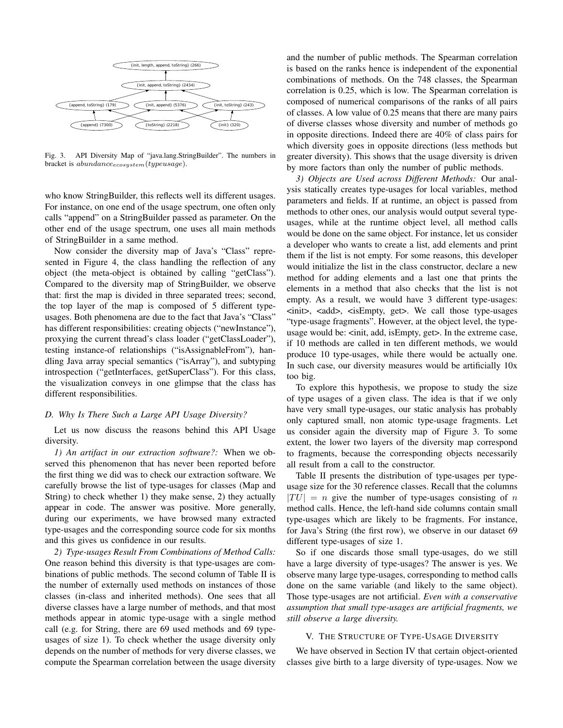

Fig. 3. API Diversity Map of "java.lang.StringBuilder". The numbers in bracket is  $abundance_{ecosystem}(type usage)$ .

who know StringBuilder, this reflects well its different usages. For instance, on one end of the usage spectrum, one often only calls "append" on a StringBuilder passed as parameter. On the other end of the usage spectrum, one uses all main methods of StringBuilder in a same method.

Now consider the diversity map of Java's "Class" represented in Figure 4, the class handling the reflection of any object (the meta-object is obtained by calling "getClass"). Compared to the diversity map of StringBuilder, we observe that: first the map is divided in three separated trees; second, the top layer of the map is composed of 5 different typeusages. Both phenomena are due to the fact that Java's "Class" has different responsibilities: creating objects ("newInstance"), proxying the current thread's class loader ("getClassLoader"), testing instance-of relationships ("isAssignableFrom"), handling Java array special semantics ("isArray"), and subtyping introspection ("getInterfaces, getSuperClass"). For this class, the visualization conveys in one glimpse that the class has different responsibilities.

#### *D. Why Is There Such a Large API Usage Diversity?*

Let us now discuss the reasons behind this API Usage diversity.

*1) An artifact in our extraction software?:* When we observed this phenomenon that has never been reported before the first thing we did was to check our extraction software. We carefully browse the list of type-usages for classes (Map and String) to check whether 1) they make sense, 2) they actually appear in code. The answer was positive. More generally, during our experiments, we have browsed many extracted type-usages and the corresponding source code for six months and this gives us confidence in our results.

*2) Type-usages Result From Combinations of Method Calls:* One reason behind this diversity is that type-usages are combinations of public methods. The second column of Table II is the number of externally used methods on instances of those classes (in-class and inherited methods). One sees that all diverse classes have a large number of methods, and that most methods appear in atomic type-usage with a single method call (e.g. for String, there are 69 used methods and 69 typeusages of size 1). To check whether the usage diversity only depends on the number of methods for very diverse classes, we compute the Spearman correlation between the usage diversity

and the number of public methods. The Spearman correlation is based on the ranks hence is independent of the exponential combinations of methods. On the 748 classes, the Spearman correlation is 0.25, which is low. The Spearman correlation is composed of numerical comparisons of the ranks of all pairs of classes. A low value of 0.25 means that there are many pairs of diverse classes whose diversity and number of methods go in opposite directions. Indeed there are 40% of class pairs for which diversity goes in opposite directions (less methods but greater diversity). This shows that the usage diversity is driven by more factors than only the number of public methods.

*3) Objects are Used across Different Methods:* Our analysis statically creates type-usages for local variables, method parameters and fields. If at runtime, an object is passed from methods to other ones, our analysis would output several typeusages, while at the runtime object level, all method calls would be done on the same object. For instance, let us consider a developer who wants to create a list, add elements and print them if the list is not empty. For some reasons, this developer would initialize the list in the class constructor, declare a new method for adding elements and a last one that prints the elements in a method that also checks that the list is not empty. As a result, we would have 3 different type-usages: <init>, <add>, <isEmpty, get>. We call those type-usages "type-usage fragments". However, at the object level, the typeusage would be: <init, add, isEmpty, get>. In the extreme case, if 10 methods are called in ten different methods, we would produce 10 type-usages, while there would be actually one. In such case, our diversity measures would be artificially 10x too big.

To explore this hypothesis, we propose to study the size of type usages of a given class. The idea is that if we only have very small type-usages, our static analysis has probably only captured small, non atomic type-usage fragments. Let us consider again the diversity map of Figure 3. To some extent, the lower two layers of the diversity map correspond to fragments, because the corresponding objects necessarily all result from a call to the constructor.

Table II presents the distribution of type-usages per typeusage size for the 30 reference classes. Recall that the columns  $|TU| = n$  give the number of type-usages consisting of n method calls. Hence, the left-hand side columns contain small type-usages which are likely to be fragments. For instance, for Java's String (the first row), we observe in our dataset 69 different type-usages of size 1.

So if one discards those small type-usages, do we still have a large diversity of type-usages? The answer is yes. We observe many large type-usages, corresponding to method calls done on the same variable (and likely to the same object). Those type-usages are not artificial. *Even with a conservative assumption that small type-usages are artificial fragments, we still observe a large diversity.*

#### V. THE STRUCTURE OF TYPE-USAGE DIVERSITY

We have observed in Section IV that certain object-oriented classes give birth to a large diversity of type-usages. Now we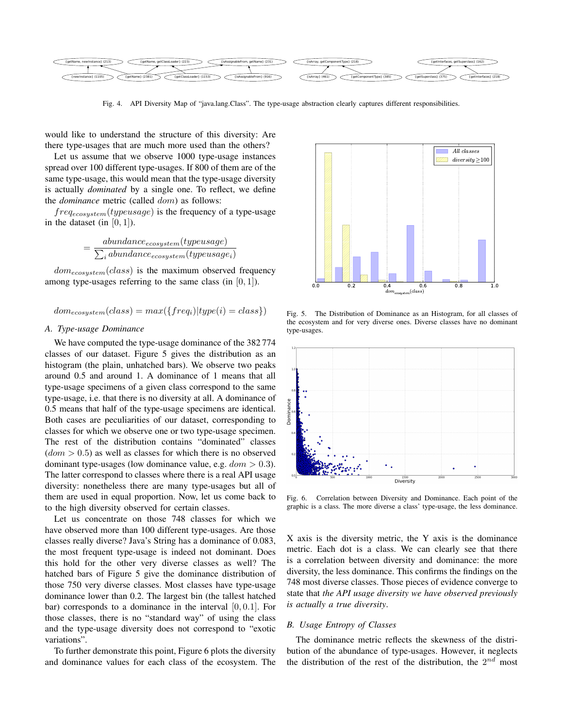

Fig. 4. API Diversity Map of "java.lang.Class". The type-usage abstraction clearly captures different responsibilities.

would like to understand the structure of this diversity: Are there type-usages that are much more used than the others?

Let us assume that we observe 1000 type-usage instances spread over 100 different type-usages. If 800 of them are of the same type-usage, this would mean that the type-usage diversity is actually *dominated* by a single one. To reflect, we define the *dominance* metric (called dom) as follows:

 $freq_{ecosystem}(type usage)$  is the frequency of a type-usage in the dataset (in  $[0, 1]$ ).

$$
= \frac{abundance_{ecosystem}(type usage)}{\sum_i abundance_{ecosystem}(type usage_i)}
$$

 $dom_{ecosystem}(class)$  is the maximum observed frequency among type-usages referring to the same class (in  $[0, 1]$ ).

$$
dom_{ecosystem}(class) = max({\{freq_i)|type(i) = class}\})
$$

#### *A. Type-usage Dominance*

We have computed the type-usage dominance of the 382 774 classes of our dataset. Figure 5 gives the distribution as an histogram (the plain, unhatched bars). We observe two peaks around 0.5 and around 1. A dominance of 1 means that all type-usage specimens of a given class correspond to the same type-usage, i.e. that there is no diversity at all. A dominance of 0.5 means that half of the type-usage specimens are identical. Both cases are peculiarities of our dataset, corresponding to classes for which we observe one or two type-usage specimen. The rest of the distribution contains "dominated" classes  $(dom > 0.5)$  as well as classes for which there is no observed dominant type-usages (low dominance value, e.g.  $dom > 0.3$ ). The latter correspond to classes where there is a real API usage diversity: nonetheless there are many type-usages but all of them are used in equal proportion. Now, let us come back to to the high diversity observed for certain classes.

Let us concentrate on those 748 classes for which we have observed more than 100 different type-usages. Are those classes really diverse? Java's String has a dominance of 0.083, the most frequent type-usage is indeed not dominant. Does this hold for the other very diverse classes as well? The hatched bars of Figure 5 give the dominance distribution of those 750 very diverse classes. Most classes have type-usage dominance lower than 0.2. The largest bin (the tallest hatched bar) corresponds to a dominance in the interval  $[0, 0.1]$ . For those classes, there is no "standard way" of using the class and the type-usage diversity does not correspond to "exotic variations".

To further demonstrate this point, Figure 6 plots the diversity and dominance values for each class of the ecosystem. The



Fig. 5. The Distribution of Dominance as an Histogram, for all classes of the ecosystem and for very diverse ones. Diverse classes have no dominant type-usages.



Fig. 6. Correlation between Diversity and Dominance. Each point of the graphic is a class. The more diverse a class' type-usage, the less dominance.

X axis is the diversity metric, the Y axis is the dominance metric. Each dot is a class. We can clearly see that there is a correlation between diversity and dominance: the more diversity, the less dominance. This confirms the findings on the 748 most diverse classes. Those pieces of evidence converge to state that *the API usage diversity we have observed previously is actually a true diversity*.

#### *B. Usage Entropy of Classes*

The dominance metric reflects the skewness of the distribution of the abundance of type-usages. However, it neglects the distribution of the rest of the distribution, the  $2^{nd}$  most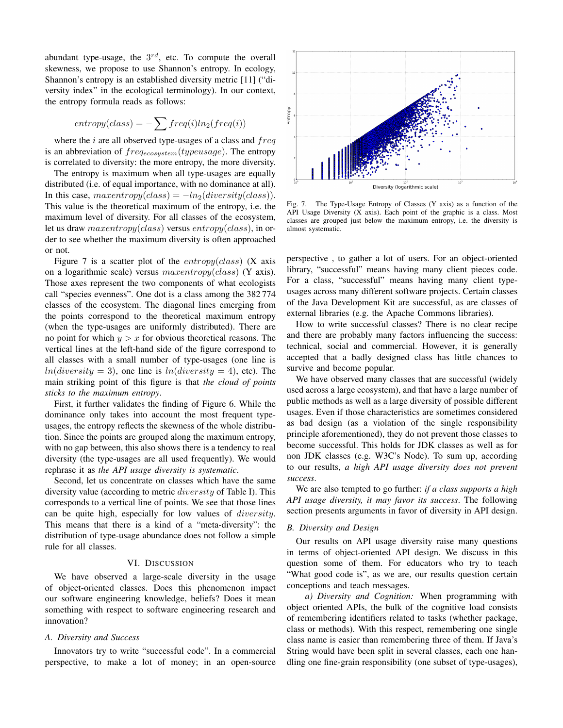abundant type-usage, the  $3^{rd}$ , etc. To compute the overall skewness, we propose to use Shannon's entropy. In ecology, Shannon's entropy is an established diversity metric [11] ("diversity index" in the ecological terminology). In our context, the entropy formula reads as follows:

$$
entropy(class) = -\sum freq(i)ln_2(freq(i))
$$

where the  $i$  are all observed type-usages of a class and  $freq$ is an abbreviation of  $freq_{ecosystem}(type usage)$ . The entropy is correlated to diversity: the more entropy, the more diversity.

The entropy is maximum when all type-usages are equally distributed (i.e. of equal importance, with no dominance at all). In this case,  $maxentropy(class) = -ln_2(diversity(class)).$ This value is the theoretical maximum of the entropy, i.e. the maximum level of diversity. For all classes of the ecosystem, let us draw  $maxentropy(class)$  versus  $entropy(class)$ , in order to see whether the maximum diversity is often approached or not.

Figure 7 is a scatter plot of the  $entropy (class)$  (X axis on a logarithmic scale) versus maxentropy(class) (Y axis). Those axes represent the two components of what ecologists call "species evenness". One dot is a class among the 382 774 classes of the ecosystem. The diagonal lines emerging from the points correspond to the theoretical maximum entropy (when the type-usages are uniformly distributed). There are no point for which  $y > x$  for obvious theoretical reasons. The vertical lines at the left-hand side of the figure correspond to all classes with a small number of type-usages (one line is  $ln(diversity = 3)$ , one line is  $ln(diversity = 4)$ , etc). The main striking point of this figure is that *the cloud of points sticks to the maximum entropy*.

First, it further validates the finding of Figure 6. While the dominance only takes into account the most frequent typeusages, the entropy reflects the skewness of the whole distribution. Since the points are grouped along the maximum entropy, with no gap between, this also shows there is a tendency to real diversity (the type-usages are all used frequently). We would rephrase it as *the API usage diversity is systematic*.

Second, let us concentrate on classes which have the same diversity value (according to metric diversity of Table I). This corresponds to a vertical line of points. We see that those lines can be quite high, especially for low values of diversity. This means that there is a kind of a "meta-diversity": the distribution of type-usage abundance does not follow a simple rule for all classes.

#### VI. DISCUSSION

We have observed a large-scale diversity in the usage of object-oriented classes. Does this phenomenon impact our software engineering knowledge, beliefs? Does it mean something with respect to software engineering research and innovation?

#### *A. Diversity and Success*

Innovators try to write "successful code". In a commercial perspective, to make a lot of money; in an open-source



Fig. 7. The Type-Usage Entropy of Classes (Y axis) as a function of the API Usage Diversity (X axis). Each point of the graphic is a class. Most classes are grouped just below the maximum entropy, i.e. the diversity is almost systematic.

perspective , to gather a lot of users. For an object-oriented library, "successful" means having many client pieces code. For a class, "successful" means having many client typeusages across many different software projects. Certain classes of the Java Development Kit are successful, as are classes of external libraries (e.g. the Apache Commons libraries).

How to write successful classes? There is no clear recipe and there are probably many factors influencing the success: technical, social and commercial. However, it is generally accepted that a badly designed class has little chances to survive and become popular.

We have observed many classes that are successful (widely used across a large ecosystem), and that have a large number of public methods as well as a large diversity of possible different usages. Even if those characteristics are sometimes considered as bad design (as a violation of the single responsibility principle aforementioned), they do not prevent those classes to become successful. This holds for JDK classes as well as for non JDK classes (e.g. W3C's Node). To sum up, according to our results, *a high API usage diversity does not prevent success*.

We are also tempted to go further: *if a class supports a high API usage diversity, it may favor its success*. The following section presents arguments in favor of diversity in API design.

#### *B. Diversity and Design*

Our results on API usage diversity raise many questions in terms of object-oriented API design. We discuss in this question some of them. For educators who try to teach "What good code is", as we are, our results question certain conceptions and teach messages.

*a) Diversity and Cognition:* When programming with object oriented APIs, the bulk of the cognitive load consists of remembering identifiers related to tasks (whether package, class or methods). With this respect, remembering one single class name is easier than remembering three of them. If Java's String would have been split in several classes, each one handling one fine-grain responsibility (one subset of type-usages),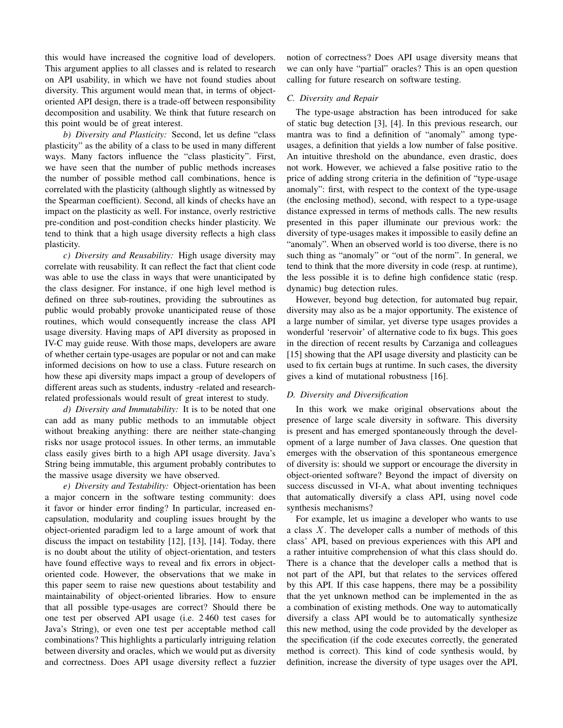this would have increased the cognitive load of developers. This argument applies to all classes and is related to research on API usability, in which we have not found studies about diversity. This argument would mean that, in terms of objectoriented API design, there is a trade-off between responsibility decomposition and usability. We think that future research on this point would be of great interest.

*b) Diversity and Plasticity:* Second, let us define "class plasticity" as the ability of a class to be used in many different ways. Many factors influence the "class plasticity". First, we have seen that the number of public methods increases the number of possible method call combinations, hence is correlated with the plasticity (although slightly as witnessed by the Spearman coefficient). Second, all kinds of checks have an impact on the plasticity as well. For instance, overly restrictive pre-condition and post-condition checks hinder plasticity. We tend to think that a high usage diversity reflects a high class plasticity.

*c) Diversity and Reusability:* High usage diversity may correlate with reusability. It can reflect the fact that client code was able to use the class in ways that were unanticipated by the class designer. For instance, if one high level method is defined on three sub-routines, providing the subroutines as public would probably provoke unanticipated reuse of those routines, which would consequently increase the class API usage diversity. Having maps of API diversity as proposed in IV-C may guide reuse. With those maps, developers are aware of whether certain type-usages are popular or not and can make informed decisions on how to use a class. Future research on how these api diversity maps impact a group of developers of different areas such as students, industry -related and researchrelated professionals would result of great interest to study.

*d) Diversity and Immutability:* It is to be noted that one can add as many public methods to an immutable object without breaking anything: there are neither state-changing risks nor usage protocol issues. In other terms, an immutable class easily gives birth to a high API usage diversity. Java's String being immutable, this argument probably contributes to the massive usage diversity we have observed.

*e) Diversity and Testability:* Object-orientation has been a major concern in the software testing community: does it favor or hinder error finding? In particular, increased encapsulation, modularity and coupling issues brought by the object-oriented paradigm led to a large amount of work that discuss the impact on testability [12], [13], [14]. Today, there is no doubt about the utility of object-orientation, and testers have found effective ways to reveal and fix errors in objectoriented code. However, the observations that we make in this paper seem to raise new questions about testability and maintainability of object-oriented libraries. How to ensure that all possible type-usages are correct? Should there be one test per observed API usage (i.e. 2 460 test cases for Java's String), or even one test per acceptable method call combinations? This highlights a particularly intriguing relation between diversity and oracles, which we would put as diversity and correctness. Does API usage diversity reflect a fuzzier notion of correctness? Does API usage diversity means that we can only have "partial" oracles? This is an open question calling for future research on software testing.

#### *C. Diversity and Repair*

The type-usage abstraction has been introduced for sake of static bug detection [3], [4]. In this previous research, our mantra was to find a definition of "anomaly" among typeusages, a definition that yields a low number of false positive. An intuitive threshold on the abundance, even drastic, does not work. However, we achieved a false positive ratio to the price of adding strong criteria in the definition of "type-usage anomaly": first, with respect to the context of the type-usage (the enclosing method), second, with respect to a type-usage distance expressed in terms of methods calls. The new results presented in this paper illuminate our previous work: the diversity of type-usages makes it impossible to easily define an "anomaly". When an observed world is too diverse, there is no such thing as "anomaly" or "out of the norm". In general, we tend to think that the more diversity in code (resp. at runtime), the less possible it is to define high confidence static (resp. dynamic) bug detection rules.

However, beyond bug detection, for automated bug repair, diversity may also as be a major opportunity. The existence of a large number of similar, yet diverse type usages provides a wonderful 'reservoir' of alternative code to fix bugs. This goes in the direction of recent results by Carzaniga and colleagues [15] showing that the API usage diversity and plasticity can be used to fix certain bugs at runtime. In such cases, the diversity gives a kind of mutational robustness [16].

#### *D. Diversity and Diversification*

In this work we make original observations about the presence of large scale diversity in software. This diversity is present and has emerged spontaneously through the development of a large number of Java classes. One question that emerges with the observation of this spontaneous emergence of diversity is: should we support or encourage the diversity in object-oriented software? Beyond the impact of diversity on success discussed in VI-A, what about inventing techniques that automatically diversify a class API, using novel code synthesis mechanisms?

For example, let us imagine a developer who wants to use a class X. The developer calls a number of methods of this class' API, based on previous experiences with this API and a rather intuitive comprehension of what this class should do. There is a chance that the developer calls a method that is not part of the API, but that relates to the services offered by this API. If this case happens, there may be a possibility that the yet unknown method can be implemented in the as a combination of existing methods. One way to automatically diversify a class API would be to automatically synthesize this new method, using the code provided by the developer as the specification (if the code executes correctly, the generated method is correct). This kind of code synthesis would, by definition, increase the diversity of type usages over the API,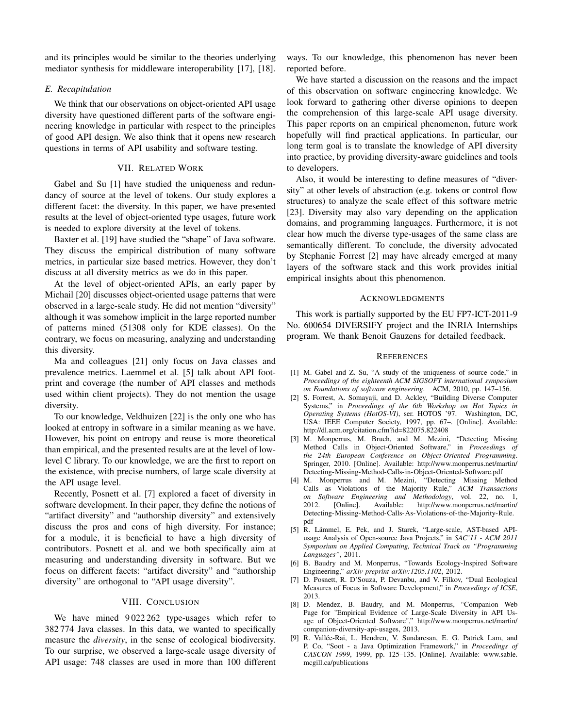and its principles would be similar to the theories underlying mediator synthesis for middleware interoperability [17], [18].

#### *E. Recapitulation*

We think that our observations on object-oriented API usage diversity have questioned different parts of the software engineering knowledge in particular with respect to the principles of good API design. We also think that it opens new research questions in terms of API usability and software testing.

#### VII. RELATED WORK

Gabel and Su [1] have studied the uniqueness and redundancy of source at the level of tokens. Our study explores a different facet: the diversity. In this paper, we have presented results at the level of object-oriented type usages, future work is needed to explore diversity at the level of tokens.

Baxter et al. [19] have studied the "shape" of Java software. They discuss the empirical distribution of many software metrics, in particular size based metrics. However, they don't discuss at all diversity metrics as we do in this paper.

At the level of object-oriented APIs, an early paper by Michail [20] discusses object-oriented usage patterns that were observed in a large-scale study. He did not mention "diversity" although it was somehow implicit in the large reported number of patterns mined (51308 only for KDE classes). On the contrary, we focus on measuring, analyzing and understanding this diversity.

Ma and colleagues [21] only focus on Java classes and prevalence metrics. Laemmel et al. [5] talk about API footprint and coverage (the number of API classes and methods used within client projects). They do not mention the usage diversity.

To our knowledge, Veldhuizen [22] is the only one who has looked at entropy in software in a similar meaning as we have. However, his point on entropy and reuse is more theoretical than empirical, and the presented results are at the level of lowlevel C library. To our knowledge, we are the first to report on the existence, with precise numbers, of large scale diversity at the API usage level.

Recently, Posnett et al. [7] explored a facet of diversity in software development. In their paper, they define the notions of "artifact diversity" and "authorship diversity" and extensively discuss the pros and cons of high diversity. For instance; for a module, it is beneficial to have a high diversity of contributors. Posnett et al. and we both specifically aim at measuring and understanding diversity in software. But we focus on different facets: "artifact diversity" and "authorship diversity" are orthogonal to "API usage diversity".

#### VIII. CONCLUSION

We have mined 9022 262 type-usages which refer to 382 774 Java classes. In this data, we wanted to specifically measure the *diversity*, in the sense of ecological biodiversity. To our surprise, we observed a large-scale usage diversity of API usage: 748 classes are used in more than 100 different

ways. To our knowledge, this phenomenon has never been reported before.

We have started a discussion on the reasons and the impact of this observation on software engineering knowledge. We look forward to gathering other diverse opinions to deepen the comprehension of this large-scale API usage diversity. This paper reports on an empirical phenomenon, future work hopefully will find practical applications. In particular, our long term goal is to translate the knowledge of API diversity into practice, by providing diversity-aware guidelines and tools to developers.

Also, it would be interesting to define measures of "diversity" at other levels of abstraction (e.g. tokens or control flow structures) to analyze the scale effect of this software metric [23]. Diversity may also vary depending on the application domains, and programming languages. Furthermore, it is not clear how much the diverse type-usages of the same class are semantically different. To conclude, the diversity advocated by Stephanie Forrest [2] may have already emerged at many layers of the software stack and this work provides initial empirical insights about this phenomenon.

#### ACKNOWLEDGMENTS

This work is partially supported by the EU FP7-ICT-2011-9 No. 600654 DIVERSIFY project and the INRIA Internships program. We thank Benoit Gauzens for detailed feedback.

#### **REFERENCES**

- [1] M. Gabel and Z. Su, "A study of the uniqueness of source code," in *Proceedings of the eighteenth ACM SIGSOFT international symposium on Foundations of software engineering*. ACM, 2010, pp. 147–156.
- [2] S. Forrest, A. Somayaji, and D. Ackley, "Building Diverse Computer Systems," in *Proceedings of the 6th Workshop on Hot Topics in Operating Systems (HotOS-VI)*, ser. HOTOS '97. Washington, DC, USA: IEEE Computer Society, 1997, pp. 67–. [Online]. Available: http://dl.acm.org/citation.cfm?id=822075.822408
- [3] M. Monperrus, M. Bruch, and M. Mezini, "Detecting Missing Method Calls in Object-Oriented Software," in *Proceedings of the 24th European Conference on Object-Oriented Programming*. Springer, 2010. [Online]. Available: http://www.monperrus.net/martin/ Detecting-Missing-Method-Calls-in-Object-Oriented-Software.pdf
- [4] M. Monperrus and M. Mezini, "Detecting Missing Method Calls as Violations of the Majority Rule," *ACM Transactions on Software Engineering and Methodology*, vol. 22, no. 1, Available: http://www.monperrus.net/martin/ Detecting-Missing-Method-Calls-As-Violations-of-the-Majority-Rule. pdf
- [5] R. Lämmel, E. Pek, and J. Starek, "Large-scale, AST-based APIusage Analysis of Open-source Java Projects," in *SAC'11 - ACM 2011 Symposium on Applied Computing, Technical Track on "Programming Languages"*, 2011.
- [6] B. Baudry and M. Monperrus, "Towards Ecology-Inspired Software Engineering," *arXiv preprint arXiv:1205.1102*, 2012.
- [7] D. Posnett, R. D'Souza, P. Devanbu, and V. Filkov, "Dual Ecological Measures of Focus in Software Development," in *Proceedings of ICSE*, 2013.
- [8] D. Mendez, B. Baudry, and M. Monperrus, "Companion Web Page for "Empirical Evidence of Large-Scale Diversity in API Usage of Object-Oriented Software"," http://www.monperrus.net/martin/ companion-diversity-api-usages, 2013.
- [9] R. Vallée-Rai, L. Hendren, V. Sundaresan, E. G. Patrick Lam, and P. Co, "Soot - a Java Optimization Framework," in *Proceedings of CASCON 1999*, 1999, pp. 125–135. [Online]. Available: www.sable. mcgill.ca/publications